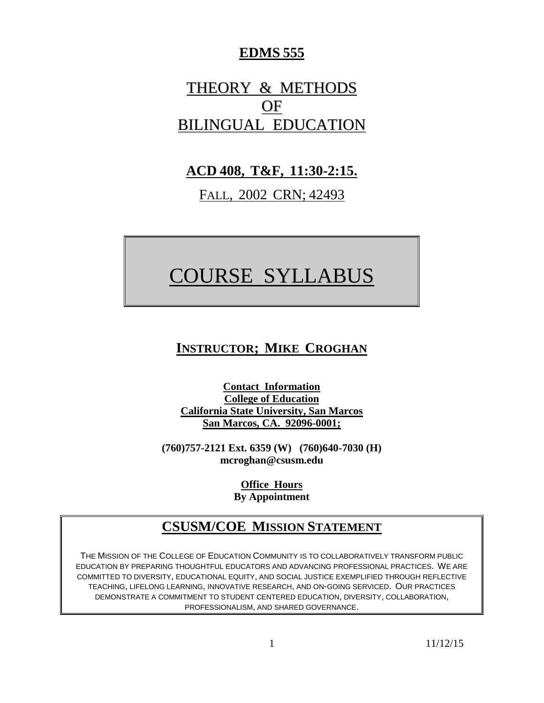## **EDMS 555**

# THEORY & METHODS OF BILINGUAL EDUCATION

## **ACD 408, T&F, 11:30-2:15.**

FALL, 2002 CRN; 42493

# COURSE SYLLABUS

# **INSTRUCTOR; MIKE CROGHAN**

**Contact Information College of Education California State University, San Marcos San Marcos, CA. 92096-0001;**

**(760)757-2121 Ext. 6359 (W) (760)640-7030 (H) mcroghan@csusm.edu**

> **Office Hours By Appointment**

## **CSUSM/COE MISSION STATEMENT**

THE MISSION OF THE COLLEGE OF EDUCATION COMMUNITY IS TO COLLABORATIVELY TRANSFORM PUBLIC EDUCATION BY PREPARING THOUGHTFUL EDUCATORS AND ADVANCING PROFESSIONAL PRACTICES. WE ARE COMMITTED TO DIVERSITY, EDUCATIONAL EQUITY, AND SOCIAL JUSTICE EXEMPLIFIED THROUGH REFLECTIVE TEACHING, LIFELONG LEARNING, INNOVATIVE RESEARCH, AND ON-GOING SERVICED. OUR PRACTICES DEMONSTRATE A COMMITMENT TO STUDENT CENTERED EDUCATION, DIVERSITY, COLLABORATION, PROFESSIONALISM, AND SHARED GOVERNANCE.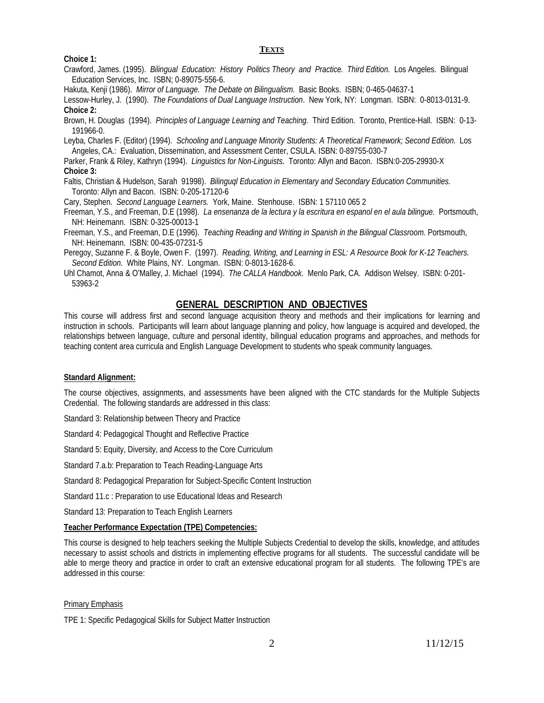#### **TEXTS**

#### **Choice 1:**

Crawford, James. (1995). *Bilingual Education: History Politics Theory and Practice. Third Edition.* Los Angeles. Bilingual Education Services, Inc. ISBN; 0-89075-556-6.

Hakuta, Kenji (1986). *Mirror of Language. The Debate on Bilingualism.* Basic Books. ISBN; 0-465-04637-1

Lessow-Hurley, J. (1990). *The Foundations of Dual Language Instruction*. New York, NY: Longman. ISBN: 0-8013-0131-9. **Choice 2:**

Brown, H. Douglas (1994). *Principles of Language Learning and Teaching.* Third Edition. Toronto, Prentice-Hall. ISBN: 0-13- 191966-0.

Leyba, Charles F. (Editor) (1994). *Schooling and Language Minority Students: A Theoretical Framework; Second Edition.* Los Angeles, CA.: Evaluation, Dissemination, and Assessment Center, CSULA. ISBN: 0-89755-030-7

Parker, Frank & Riley, Kathryn (1994). *Linguistics for Non-Linguists.* Toronto: Allyn and Bacon. ISBN:0-205-29930-X **Choice 3:**

Faltis, Christian & Hudelson, Sarah 91998). *Bilinguql Education in Elementary and Secondary Education Communities.* Toronto: Allyn and Bacon. ISBN: 0-205-17120-6

Cary, Stephen. *Second Language Learners.* York, Maine. Stenhouse. ISBN: 1 57110 065 2

Freeman, Y.S., and Freeman, D.E (1998). *La ensenanza de la lectura y la escritura en espanol en el aula bilingue.* Portsmouth, NH: Heinemann. ISBN: 0-325-00013-1

Freeman, Y.S., and Freeman, D.E (1996). *Teaching Reading and Writing in Spanish in the Bilingual Classroom.* Portsmouth, NH: Heinemann. ISBN: 00-435-07231-5

Peregoy, Suzanne F. & Boyle, Owen F. (1997). *Reading, Writing, and Learning in ESL: A Resource Book for K-12 Teachers. Second Edition.* White Plains, NY. Longman. ISBN: 0-8013-1628-6.

Uhl Chamot, Anna & O'Malley, J. Michael (1994). *The CALLA Handbook*. Menlo Park, CA. Addison Welsey. ISBN: 0-201- 53963-2

#### **GENERAL DESCRIPTION AND OBJECTIVES**

This course will address first and second language acquisition theory and methods and their implications for learning and instruction in schools. Participants will learn about language planning and policy, how language is acquired and developed, the relationships between language, culture and personal identity, bilingual education programs and approaches, and methods for teaching content area curricula and English Language Development to students who speak community languages.

#### **Standard Alignment:**

The course objectives, assignments, and assessments have been aligned with the CTC standards for the Multiple Subjects Credential. The following standards are addressed in this class:

Standard 3: Relationship between Theory and Practice

Standard 4: Pedagogical Thought and Reflective Practice

Standard 5: Equity, Diversity, and Access to the Core Curriculum

Standard 7.a.b: Preparation to Teach Reading-Language Arts

Standard 8: Pedagogical Preparation for Subject-Specific Content Instruction

Standard 11.c : Preparation to use Educational Ideas and Research

Standard 13: Preparation to Teach English Learners

#### **Teacher Performance Expectation (TPE) Competencies:**

This course is designed to help teachers seeking the Multiple Subjects Credential to develop the skills, knowledge, and attitudes necessary to assist schools and districts in implementing effective programs for all students. The successful candidate will be able to merge theory and practice in order to craft an extensive educational program for all students. The following TPE's are addressed in this course:

#### Primary Emphasis

TPE 1: Specific Pedagogical Skills for Subject Matter Instruction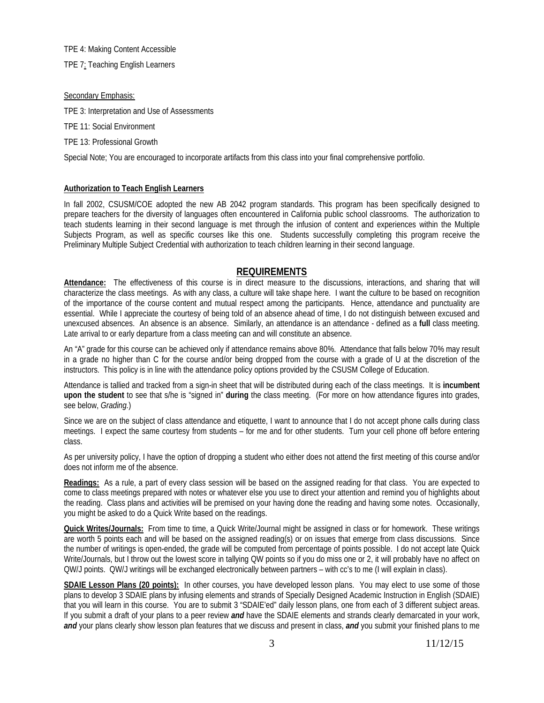TPE 4: Making Content Accessible

TPE 7: Teaching English Learners

#### Secondary Emphasis:

TPE 3: Interpretation and Use of Assessments

TPE 11: Social Environment

TPE 13: Professional Growth

Special Note; You are encouraged to incorporate artifacts from this class into your final comprehensive portfolio.

#### **Authorization to Teach English Learners**

In fall 2002, CSUSM/COE adopted the new AB 2042 program standards. This program has been specifically designed to prepare teachers for the diversity of languages often encountered in California public school classrooms. The authorization to teach students learning in their second language is met through the infusion of content and experiences within the Multiple Subjects Program, as well as specific courses like this one. Students successfully completing this program receive the Preliminary Multiple Subject Credential with authorization to teach children learning in their second language.

### **REQUIREMENTS**

**Attendance:** The effectiveness of this course is in direct measure to the discussions, interactions, and sharing that will characterize the class meetings. As with any class, a culture will take shape here. I want the culture to be based on recognition of the importance of the course content and mutual respect among the participants. Hence, attendance and punctuality are essential. While I appreciate the courtesy of being told of an absence ahead of time, I do not distinguish between excused and unexcused absences. An absence is an absence. Similarly, an attendance is an attendance - defined as a **full** class meeting. Late arrival to or early departure from a class meeting can and will constitute an absence.

An "A" grade for this course can be achieved only if attendance remains above 80%. Attendance that falls below 70% may result in a grade no higher than C for the course and/or being dropped from the course with a grade of U at the discretion of the instructors. This policy is in line with the attendance policy options provided by the CSUSM College of Education.

Attendance is tallied and tracked from a sign-in sheet that will be distributed during each of the class meetings. It is **incumbent upon the student** to see that s/he is "signed in" **during** the class meeting. (For more on how attendance figures into grades, see below, *Grading.*)

Since we are on the subject of class attendance and etiquette, I want to announce that I do not accept phone calls during class meetings. I expect the same courtesy from students – for me and for other students. Turn your cell phone off before entering class.

As per university policy, I have the option of dropping a student who either does not attend the first meeting of this course and/or does not inform me of the absence.

**Readings:** As a rule, a part of every class session will be based on the assigned reading for that class. You are expected to come to class meetings prepared with notes or whatever else you use to direct your attention and remind you of highlights about the reading. Class plans and activities will be premised on your having done the reading and having some notes. Occasionally, you might be asked to do a Quick Write based on the readings.

**Quick Writes/Journals:** From time to time, a Quick Write/Journal might be assigned in class or for homework. These writings are worth 5 points each and will be based on the assigned reading(s) or on issues that emerge from class discussions. Since the number of writings is open-ended, the grade will be computed from percentage of points possible. I do not accept late Quick Write/Journals, but I throw out the lowest score in tallying QW points so if you do miss one or 2, it will probably have no affect on QW/J points. QW/J writings will be exchanged electronically between partners – with cc's to me (I will explain in class).

**SDAIE Lesson Plans (20 points):** In other courses, you have developed lesson plans. You may elect to use some of those plans to develop 3 SDAIE plans by infusing elements and strands of Specially Designed Academic Instruction in English (SDAIE) that you will learn in this course. You are to submit 3 "SDAIE'ed" daily lesson plans, one from each of 3 different subject areas. If you submit a draft of your plans to a peer review *and* have the SDAIE elements and strands clearly demarcated in your work, *and* your plans clearly show lesson plan features that we discuss and present in class, *and* you submit your finished plans to me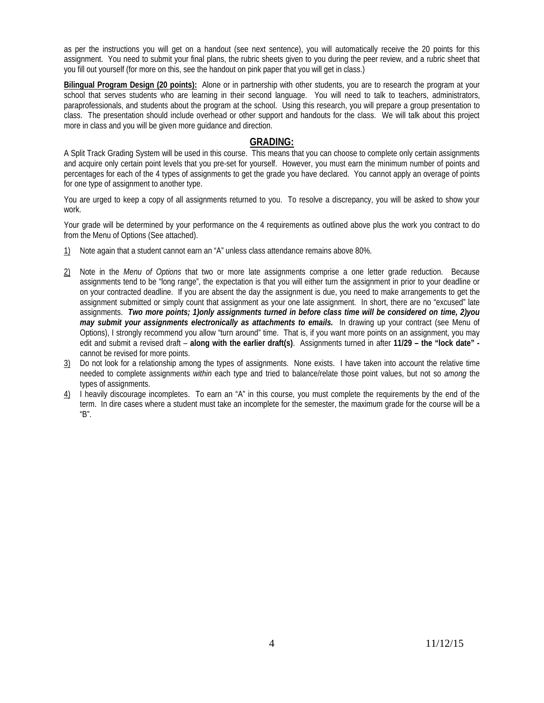as per the instructions you will get on a handout (see next sentence), you will automatically receive the 20 points for this assignment. You need to submit your final plans, the rubric sheets given to you during the peer review, and a rubric sheet that you fill out yourself (for more on this, see the handout on pink paper that you will get in class.)

**Bilingual Program Design (20 points):** Alone or in partnership with other students, you are to research the program at your school that serves students who are learning in their second language. You will need to talk to teachers, administrators, paraprofessionals, and students about the program at the school. Using this research, you will prepare a group presentation to class. The presentation should include overhead or other support and handouts for the class. We will talk about this project more in class and you will be given more guidance and direction.

#### **GRADING:**

A Split Track Grading System will be used in this course. This means that you can choose to complete only certain assignments and acquire only certain point levels that you pre-set for yourself. However, you must earn the minimum number of points and percentages for each of the 4 types of assignments to get the grade you have declared. You cannot apply an overage of points for one type of assignment to another type.

You are urged to keep a copy of all assignments returned to you. To resolve a discrepancy, you will be asked to show your work.

Your grade will be determined by your performance on the 4 requirements as outlined above plus the work you contract to do from the Menu of Options (See attached).

- 1) Note again that a student cannot earn an "A" unless class attendance remains above 80%.
- 2) Note in the *Menu of Options* that two or more late assignments comprise a one letter grade reduction. Because assignments tend to be "long range", the expectation is that you will either turn the assignment in prior to your deadline or on your contracted deadline. If you are absent the day the assignment is due, you need to make arrangements to get the assignment submitted or simply count that assignment as your one late assignment. In short, there are no "excused" late assignments. *Two more points; 1)only assignments turned in before class time will be considered on time, 2)you may submit your assignments electronically as attachments to emails.* In drawing up your contract (see Menu of Options), I strongly recommend you allow "turn around" time. That is, if you want more points on an assignment, you may edit and submit a revised draft – **along with the earlier draft(s)**. Assignments turned in after **11/29 – the "lock date"**  cannot be revised for more points.
- 3) Do not look for a relationship among the types of assignments. None exists. I have taken into account the relative time needed to complete assignments *within* each type and tried to balance/relate those point values, but not so *among* the types of assignments.
- 4) I heavily discourage incompletes. To earn an "A" in this course, you must complete the requirements by the end of the term. In dire cases where a student must take an incomplete for the semester, the maximum grade for the course will be a "B".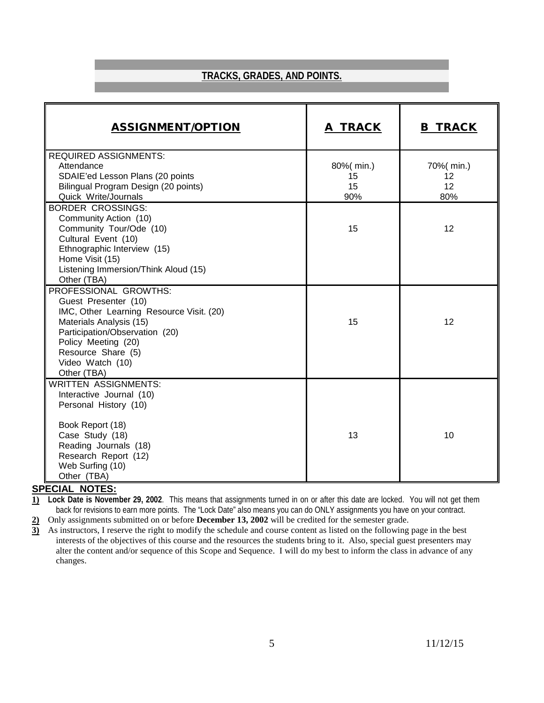## **TRACKS, GRADES, AND POINTS.**

| <b>ASSIGNMENT/OPTION</b>                                                                                                                                                                                                               | A TRACK                      | <b>B TRACK</b>                |
|----------------------------------------------------------------------------------------------------------------------------------------------------------------------------------------------------------------------------------------|------------------------------|-------------------------------|
| <b>REQUIRED ASSIGNMENTS:</b><br>Attendance<br>SDAIE'ed Lesson Plans (20 points<br>Bilingual Program Design (20 points)<br>Quick Write/Journals                                                                                         | 80%(min.)<br>15<br>15<br>90% | 70%( min.)<br>12<br>12<br>80% |
| <b>BORDER CROSSINGS:</b><br>Community Action (10)<br>Community Tour/Ode (10)<br>Cultural Event (10)<br>Ethnographic Interview (15)<br>Home Visit (15)<br>Listening Immersion/Think Aloud (15)<br>Other (TBA)                           | 15                           | 12                            |
| PROFESSIONAL GROWTHS:<br>Guest Presenter (10)<br>IMC, Other Learning Resource Visit. (20)<br>Materials Analysis (15)<br>Participation/Observation (20)<br>Policy Meeting (20)<br>Resource Share (5)<br>Video Watch (10)<br>Other (TBA) | 15                           | 12                            |
| <b>WRITTEN ASSIGNMENTS:</b><br>Interactive Journal (10)<br>Personal History (10)<br>Book Report (18)<br>Case Study (18)<br>Reading Journals (18)<br>Research Report (12)<br>Web Surfing (10)<br>Other (TBA)                            | 13                           | 10                            |

#### **SPECIAL NOTES:**

**1) Lock Date is November 29, 2002**. This means that assignments turned in on or after this date are locked. You will not get them back for revisions to earn more points. The "Lock Date" also means you can do ONLY assignments you have on your contract.

**2)** Only assignments submitted on or before **December 13, 2002** will be credited for the semester grade.

**3)** As instructors, I reserve the right to modify the schedule and course content as listed on the following page in the best interests of the objectives of this course and the resources the students bring to it. Also, special guest presenters may alter the content and/or sequence of this Scope and Sequence. I will do my best to inform the class in advance of any changes.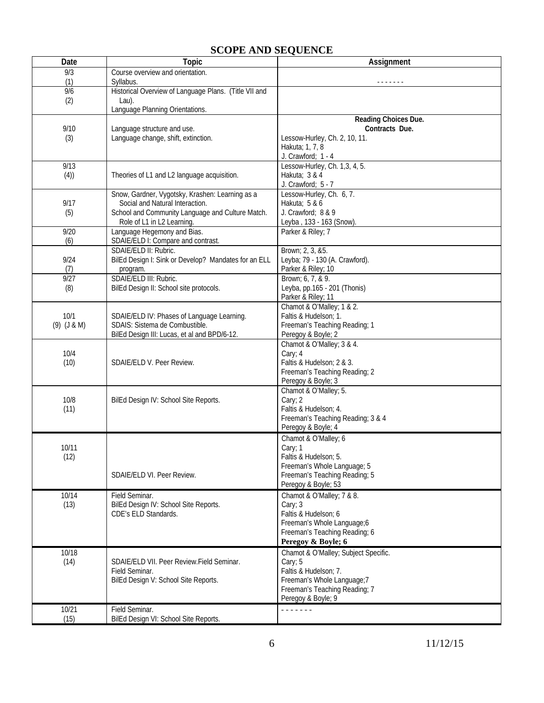## **SCOPE AND SEQUENCE**

| Date                    | <b>Topic</b>                                                                                                                                                         | Assignment                                                                                                                                                    |
|-------------------------|----------------------------------------------------------------------------------------------------------------------------------------------------------------------|---------------------------------------------------------------------------------------------------------------------------------------------------------------|
| 9/3                     | Course overview and orientation.                                                                                                                                     |                                                                                                                                                               |
| (1)                     | Syllabus.                                                                                                                                                            |                                                                                                                                                               |
| 9/6<br>(2)              | Historical Overview of Language Plans. (Title VII and<br>Lau).                                                                                                       |                                                                                                                                                               |
|                         | Language Planning Orientations.                                                                                                                                      |                                                                                                                                                               |
| 9/10<br>(3)             | Language structure and use.<br>Language change, shift, extinction.                                                                                                   | Reading Choices Due.<br>Contracts Due.<br>Lessow-Hurley, Ch. 2, 10, 11.<br>Hakuta; 1, 7, 8<br>J. Crawford; 1 - 4                                              |
| 9/13<br>(4))            | Theories of L1 and L2 language acquisition.                                                                                                                          | Lessow-Hurley, Ch. 1,3, 4, 5.<br>Hakuta; 3 & 4<br>J. Crawford; 5 - 7                                                                                          |
| 9/17<br>(5)             | Snow, Gardner, Vygotsky, Krashen: Learning as a<br>Social and Natural Interaction.<br>School and Community Language and Culture Match.<br>Role of L1 in L2 Learning. | Lessow-Hurley, Ch. 6, 7.<br>Hakuta; 5 & 6<br>J. Crawford; 8 & 9<br>Leyba, 133 - 163 (Snow).                                                                   |
| 9/20<br>(6)             | Language Hegemony and Bias.<br>SDAIE/ELD I: Compare and contrast.                                                                                                    | Parker & Riley; 7                                                                                                                                             |
| 9/24<br>(7)             | SDAIE/ELD II: Rubric.<br>BilEd Design I: Sink or Develop? Mandates for an ELL<br>program.                                                                            | Brown; 2, 3, &5.<br>Leyba; 79 - 130 (A. Crawford).<br>Parker & Riley; 10                                                                                      |
| 9/27<br>(8)             | SDAIE/ELD III: Rubric.<br>BilEd Design II: School site protocols.                                                                                                    | Brown; 6, 7, & 9.<br>Leyba, pp.165 - 201 (Thonis)<br>Parker & Riley; 11                                                                                       |
| 10/1<br>$(9)$ $(J & M)$ | SDAIE/ELD IV: Phases of Language Learning.<br>SDAIS: Sistema de Combustible.<br>BilEd Design III: Lucas, et al and BPD/6-12.                                         | Chamot & O'Malley; 1 & 2.<br>Faltis & Hudelson; 1.<br>Freeman's Teaching Reading; 1<br>Peregoy & Boyle; 2                                                     |
| 10/4<br>(10)            | SDAIE/ELD V. Peer Review.                                                                                                                                            | Chamot & O'Malley; 3 & 4.<br>Cary; 4<br>Faltis & Hudelson; 2 & 3.<br>Freeman's Teaching Reading; 2<br>Peregoy & Boyle; 3                                      |
| 10/8<br>(11)            | BilEd Design IV: School Site Reports.                                                                                                                                | Chamot & O'Malley; 5.<br>Cary; 2<br>Faltis & Hudelson; 4.<br>Freeman's Teaching Reading; 3 & 4<br>Peregoy & Boyle; 4                                          |
| 10/11<br>(12)           | SDAIE/ELD VI. Peer Review.                                                                                                                                           | Chamot & O'Malley; 6<br>Cary; 1<br>Faltis & Hudelson; 5.<br>Freeman's Whole Language; 5<br>Freeman's Teaching Reading; 5<br>Peregoy & Boyle; 53               |
| 10/14<br>(13)           | Field Seminar.<br>BilEd Design IV: School Site Reports.<br>CDE's ELD Standards.                                                                                      | Chamot & O'Malley; 7 & 8.<br>Cary; 3<br>Faltis & Hudelson; 6<br>Freeman's Whole Language;6<br>Freeman's Teaching Reading; 6<br>Peregoy & Boyle; 6             |
| 10/18<br>(14)           | SDAIE/ELD VII. Peer Review.Field Seminar.<br>Field Seminar.<br>BilEd Design V: School Site Reports.                                                                  | Chamot & O'Malley; Subject Specific.<br>Cary; 5<br>Faltis & Hudelson; 7.<br>Freeman's Whole Language;7<br>Freeman's Teaching Reading; 7<br>Peregoy & Boyle; 9 |
| 10/21<br>(15)           | Field Seminar.<br>BilEd Design VI: School Site Reports.                                                                                                              | .                                                                                                                                                             |